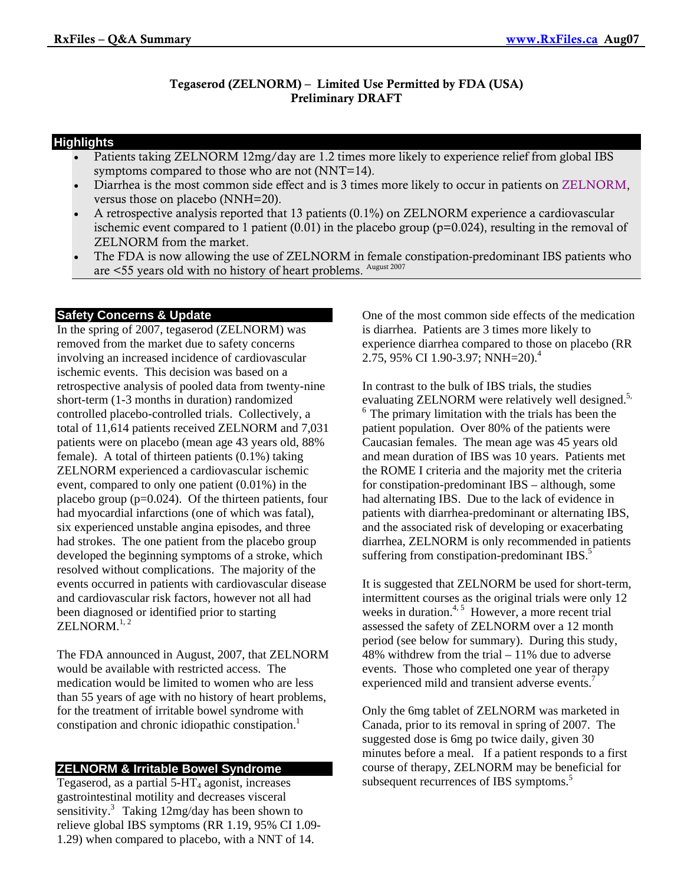### Tegaserod (ZELNORM) – Limited Use Permitted by FDA (USA) Preliminary DRAFT

### **Highlights**

• Patients taking ZELNORM 12mg/day are 1.2 times more likely to experience relief from global IBS symptoms compared to those who are not (NNT=14).

- Diarrhea is the most common side effect and is 3 times more likely to occur in patients on ZELNORM, versus those on placebo (NNH=20).
- A retrospective analysis reported that 13 patients (0.1%) on ZELNORM experience a cardiovascular ischemic event compared to 1 patient  $(0.01)$  in the placebo group ( $p=0.024$ ), resulting in the removal of ZELNORM from the market.
- The FDA is now allowing the use of ZELNORM in female constipation-predominant IBS patients who are <55 years old with no history of heart problems. August 2007

## **Safety Concerns & Update**

In the spring of 2007, tegaserod (ZELNORM) was removed from the market due to safety concerns involving an increased incidence of cardiovascular ischemic events. This decision was based on a retrospective analysis of pooled data from twenty-nine short-term (1-3 months in duration) randomized controlled placebo-controlled trials. Collectively, a total of 11,614 patients received ZELNORM and 7,031 patients were on placebo (mean age 43 years old, 88% female). A total of thirteen patients (0.1%) taking ZELNORM experienced a cardiovascular ischemic event, compared to only one patient (0.01%) in the placebo group (p=0.024). Of the thirteen patients, four had myocardial infarctions (one of which was fatal), six experienced unstable angina episodes, and three had strokes. The one patient from the placebo group developed the beginning symptoms of a stroke, which resolved without complications. The majority of the events occurred in patients with cardiovascular disease and cardiovascular risk factors, however not all had been diagnosed or identified prior to starting  $ZELNORM.<sup>1, 2</sup>$ 

The FDA announced in August, 2007, that ZELNORM would be available with restricted access. The medication would be limited to women who are less than 55 years of age with no history of heart problems, for the treatment of irritable bowel syndrome with constipation and chronic idiopathic constipation.<sup>1</sup>

# **ZELNORM & Irritable Bowel Syndrome**

Tegaserod, as a partial  $5-HT_4$  agonist, increases gastrointestinal motility and decreases visceral sensitivity. $3$  Taking 12mg/day has been shown to relieve global IBS symptoms (RR 1.19, 95% CI 1.09- 1.29) when compared to placebo, with a NNT of 14.

One of the most common side effects of the medication is diarrhea. Patients are 3 times more likely to experience diarrhea compared to those on placebo (RR 2.75, 95% CI 1.90-3.97; NNH=20).<sup>4</sup>

In contrast to the bulk of IBS trials, the studies evaluating ZELNORM were relatively well designed.<sup>5,</sup>  $<sup>6</sup>$  The primary limitation with the trials has been the</sup> patient population. Over 80% of the patients were Caucasian females. The mean age was 45 years old and mean duration of IBS was 10 years. Patients met the ROME I criteria and the majority met the criteria for constipation-predominant IBS – although, some had alternating IBS. Due to the lack of evidence in patients with diarrhea-predominant or alternating IBS, and the associated risk of developing or exacerbating diarrhea, ZELNORM is only recommended in patients suffering from constipation-predominant IBS.<sup>5</sup>

It is suggested that ZELNORM be used for short-term, intermittent courses as the original trials were only 12 weeks in duration.<sup>4, 5</sup> However, a more recent trial assessed the safety of ZELNORM over a 12 month period (see below for summary). During this study, 48% withdrew from the trial – 11% due to adverse events. Those who completed one year of therapy experienced mild and transient adverse events.<sup>7</sup>

Only the 6mg tablet of ZELNORM was marketed in Canada, prior to its removal in spring of 2007. The suggested dose is 6mg po twice daily, given 30 minutes before a meal. If a patient responds to a first course of therapy, ZELNORM may be beneficial for subsequent recurrences of IBS symptoms.<sup>5</sup>